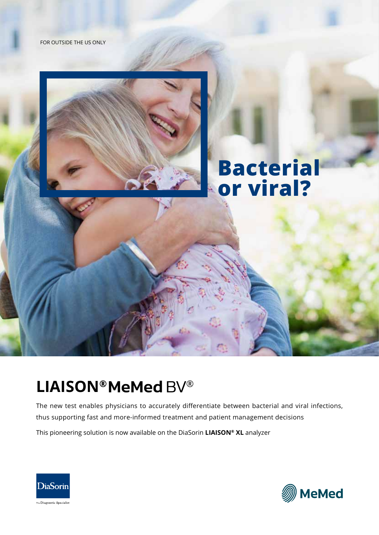



## **Bacterial or viral?**

## **LIAISON®MeMed BV®**

The new test enables physicians to accurately differentiate between bacterial and viral infections, thus supporting fast and more-informed treatment and patient management decisions This pioneering solution is now available on the DiaSorin **LIAISON® XL** analyzer



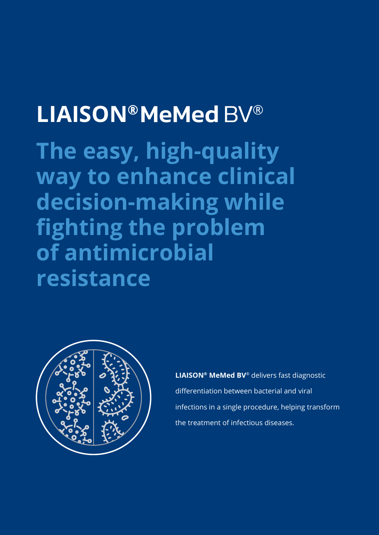# **LIAISON®MeMed BV®**

**The easy, high-quality way to enhance clinical decision-making while fighting the problem of antimicrobial resistance**



**LIAISON® MeMed BV**® delivers fast diagnostic differentiation between bacterial and viral infections in a single procedure, helping transform the treatment of infectious diseases.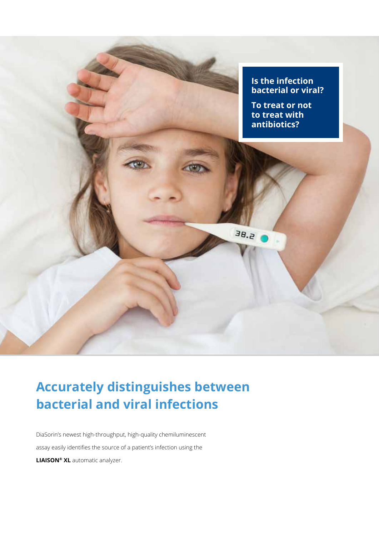

### **Accurately distinguishes between bacterial and viral infections**

DiaSorin's newest high-throughput, high-quality chemiluminescent assay easily identifies the source of a patient's infection using the **LIAISON® XL** automatic analyzer.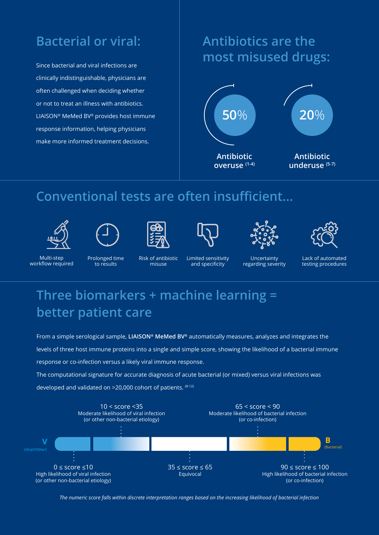#### **Bacterial or viral:**

Since bacterial and viral infections are clinically indistinguishable, physicians are often challenged when deciding whether or not to treat an illness with antibiotics. LIAISON® MeMed BV® provides host immune response information, helping physicians make more informed treatment decisions.

#### **Antibiotics are the most misused drugs:**



#### **Conventional tests are often insufficient...**













Multi-step workflow required Prolonged time to results

Risk of antibiotic misuse

Limited sensitivity and specificity

Uncertainty regarding severity Lack of automated testing procedures

### **Three biomarkers + machine learning = better patient care**

From a simple serological sample, **LIAISON® MeMed BV®** automatically measures, analyzes and integrates the levels of three host immune proteins into a single and simple score, showing the likelihood of a bacterial immune response or co-infection versus a likely viral immune response.

The computational signature for accurate diagnosis of acute bacterial (or mixed) versus viral infections was developed and validated on >20,000 cohort of patients. (8-12)



*The numeric score falls within discrete interpretation ranges based on the increasing likelihood of bacterial infection*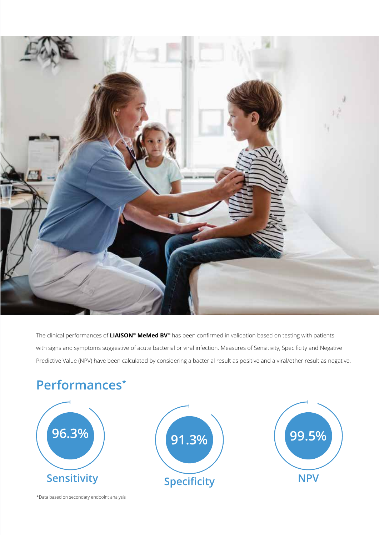

The clinical performances of **LIAISON® MeMed BV®** has been confirmed in validation based on testing with patients with signs and symptoms suggestive of acute bacterial or viral infection. Measures of Sensitivity, Specificity and Negative Predictive Value (NPV) have been calculated by considering a bacterial result as positive and a viral/other result as negative.

### **Performances\***



\*Data based on secondary endpoint analysis